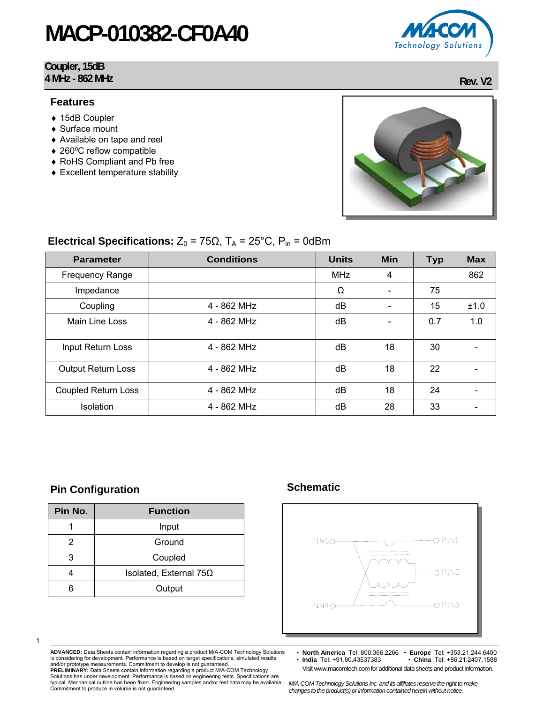#### **Coupler, 15dB 4 MHz - 862 MHz** Rev. V2

#### **Features**

- ♦ 15dB Coupler
- ♦ Surface mount
- ♦ Available on tape and reel
- ♦ 260ºC reflow compatible
- ♦ RoHS Compliant and Pb free
- ♦ Excellent temperature stability



### **Electrical Specifications:**  $Z_0 = 75\Omega$ ,  $T_A = 25^{\circ}$ C,  $P_{in} = 0d$ Bm

| <b>Parameter</b>           | <b>Conditions</b> | <b>Units</b> | Min                      | <b>Typ</b> | <b>Max</b> |
|----------------------------|-------------------|--------------|--------------------------|------------|------------|
| <b>Frequency Range</b>     |                   | <b>MHz</b>   | 4                        |            | 862        |
| Impedance                  |                   | Ω            | $\overline{\phantom{0}}$ | 75         |            |
| Coupling                   | $4 - 862$ MHz     | dB           | $\overline{\phantom{0}}$ | 15         | ±1.0       |
| Main Line Loss             | $4 - 862$ MHz     | dB           |                          | 0.7        | 1.0        |
|                            |                   |              |                          |            |            |
| Input Return Loss          | $4 - 862$ MHz     | dB           | 18                       | 30         |            |
| <b>Output Return Loss</b>  | $4 - 862$ MHz     | dB           | 18                       | 22         |            |
| <b>Coupled Return Loss</b> | 4 - 862 MHz       | dB           | 18                       | 24         |            |
| Isolation                  | 4 - 862 MHz       | dB           | 28                       | 33         |            |

### **Pin Configuration Configuration Schematic Schematic Research Configuration**

| Pin No. | <b>Function</b>               |  |
|---------|-------------------------------|--|
|         | Input                         |  |
| 2       | Ground                        |  |
| З       | Coupled                       |  |
|         | Isolated, External $75\Omega$ |  |
|         | Output                        |  |



1

**ADVANCED:** Data Sheets contain information regarding a product M/A-COM Technology Solutions is considering for development. Performance is based on target specifications, simulated results, and/or prototype measurements. Commitment to develop is not guaranteed. **PRELIMINARY:** Data Sheets contain information regarding a product M/A-COM Technology

• **North America** Tel: 800.366.2266 • **Europe** Tel: +353.21.244.6400 • **India** Tel: +91.80.43537383 • **China** Tel: +86.21.2407.1588 Visit www.macomtech.com for additional data sheets and product information.

Solutions has under development. Performance is based on engineering tests. Specifications are typical. Mechanical outline has been fixed. Engineering samples and/or test data may be available. Commitment to produce in volume is not guaranteed.

*M/A-COM Technology Solutions Inc. and its affiliates reserve the right to make changes to the product(s) or information contained herein without notice.* 

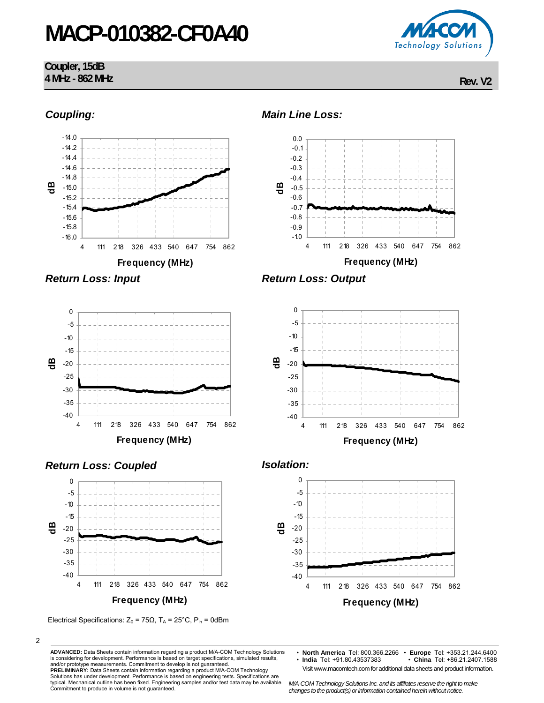#### **Coupler, 15dB 4 MHz - 862 MHz** Rev. V2

Technology Solutions



2

**ADVANCED:** Data Sheets contain information regarding a product M/A-COM Technology Solutions is considering for development. Performance is based on target specifications, simulated results, and/or prototype measurements. Commitment to develop is not guaranteed.

**PRELIMINARY:** Data Sheets contain information regarding a product M/A-COM Technology Solutions has under development. Performance is based on engineering tests. Specifications are typical. Mechanical outline has been fixed. Engineering samples and/or test data may be available. Commitment to produce in volume is not guaranteed.

Visit www.macomtech.com for additional data sheets and product information.

*M/A-COM Technology Solutions Inc. and its affiliates reserve the right to make changes to the product(s) or information contained herein without notice.* 

<sup>•</sup> **North America** Tel: 800.366.2266 • **Europe** Tel: +353.21.244.6400 • **India** Tel: +91.80.43537383 • **China** Tel: +86.21.2407.1588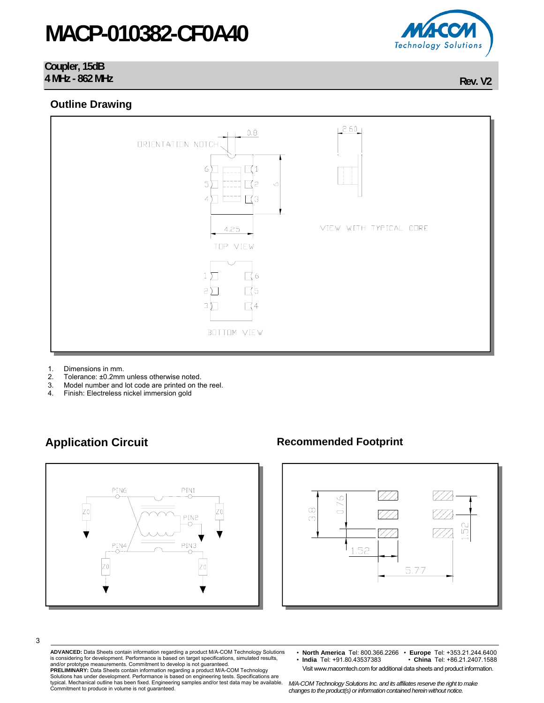#### **Coupler, 15dB 4 MHz - 862 MHz** Rev. V2

**Outline Drawing** 



- 1. Dimensions in mm.
- 2. Tolerance: ±0.2mm unless otherwise noted.<br>3. Model number and lot code are printed on the
- Model number and lot code are printed on the reel.
- 4. Finish: Electreless nickel immersion gold



### **Application Circuit Commended Footprint Recommended Footprint**



**ADVANCED:** Data Sheets contain information regarding a product M/A-COM Technology Solutions is considering for development. Performance is based on target specifications, simulated results, and/or prototype measurements. Commitment to develop is not guaranteed. **PRELIMINARY:** Data Sheets contain information regarding a product M/A-COM Technology

Solutions has under development. Performance is based on engineering tests. Specifications are typical. Mechanical outline has been fixed. Engineering samples and/or test data may be available. Commitment to produce in volume is not guaranteed.

*M/A-COM Technology Solutions Inc. and its affiliates reserve the right to make changes to the product(s) or information contained herein without notice.* 



<sup>•</sup> **North America** Tel: 800.366.2266 • **Europe** Tel: +353.21.244.6400 • **India** Tel: +91.80.43537383 • **China** Tel: +86.21.2407.1588 Visit www.macomtech.com for additional data sheets and product information.